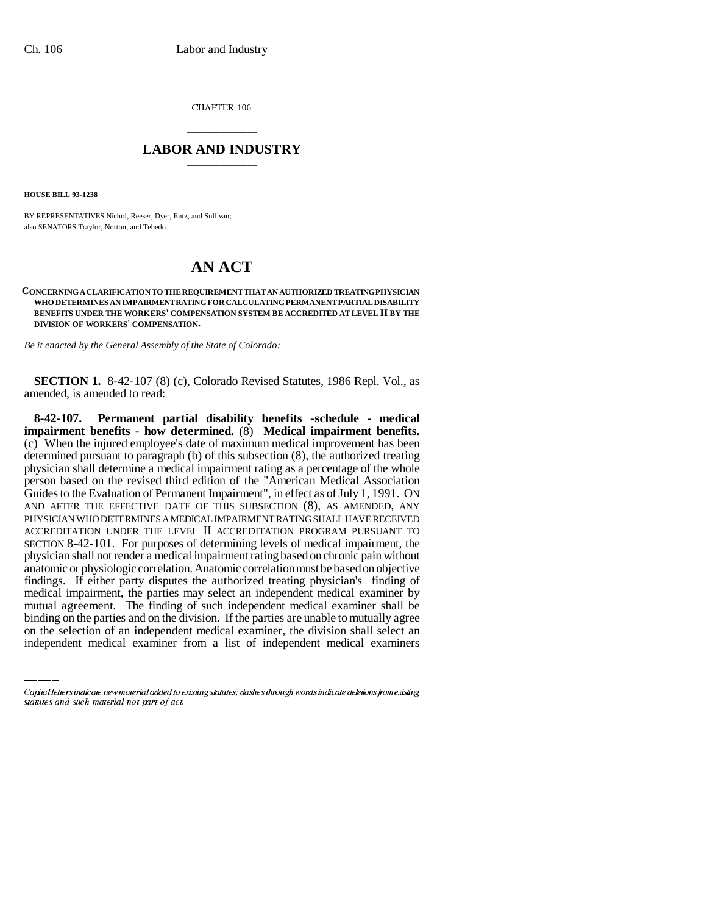CHAPTER 106

## \_\_\_\_\_\_\_\_\_\_\_\_\_\_\_ **LABOR AND INDUSTRY** \_\_\_\_\_\_\_\_\_\_\_\_\_\_\_

**HOUSE BILL 93-1238**

BY REPRESENTATIVES Nichol, Reeser, Dyer, Entz, and Sullivan; also SENATORS Traylor, Norton, and Tebedo.

## **AN ACT**

## **CONCERNING A CLARIFICATION TO THE REQUIREMENT THAT AN AUTHORIZED TREATING PHYSICIAN WHO DETERMINES AN IMPAIRMENT RATING FOR CALCULATING PERMANENT PARTIAL DISABILITY BENEFITS UNDER THE WORKERS' COMPENSATION SYSTEM BE ACCREDITED AT LEVEL II BY THE DIVISION OF WORKERS' COMPENSATION.**

*Be it enacted by the General Assembly of the State of Colorado:*

**SECTION 1.** 8-42-107 (8) (c), Colorado Revised Statutes, 1986 Repl. Vol., as amended, is amended to read:

medical impairment, the parties may select an independent medical examiner by **8-42-107. Permanent partial disability benefits -schedule - medical impairment benefits - how determined.** (8) **Medical impairment benefits.** (c) When the injured employee's date of maximum medical improvement has been determined pursuant to paragraph (b) of this subsection (8), the authorized treating physician shall determine a medical impairment rating as a percentage of the whole person based on the revised third edition of the "American Medical Association Guides to the Evaluation of Permanent Impairment", in effect as of July 1, 1991. ON AND AFTER THE EFFECTIVE DATE OF THIS SUBSECTION (8), AS AMENDED, ANY PHYSICIAN WHO DETERMINES A MEDICAL IMPAIRMENT RATING SHALL HAVE RECEIVED ACCREDITATION UNDER THE LEVEL II ACCREDITATION PROGRAM PURSUANT TO SECTION 8-42-101. For purposes of determining levels of medical impairment, the physician shall not render a medical impairment rating based on chronic pain without anatomic or physiologic correlation. Anatomic correlation must be based on objective findings. If either party disputes the authorized treating physician's finding of mutual agreement. The finding of such independent medical examiner shall be binding on the parties and on the division. If the parties are unable to mutually agree on the selection of an independent medical examiner, the division shall select an independent medical examiner from a list of independent medical examiners

Capital letters indicate new material added to existing statutes; dashes through words indicate deletions from existing statutes and such material not part of act.